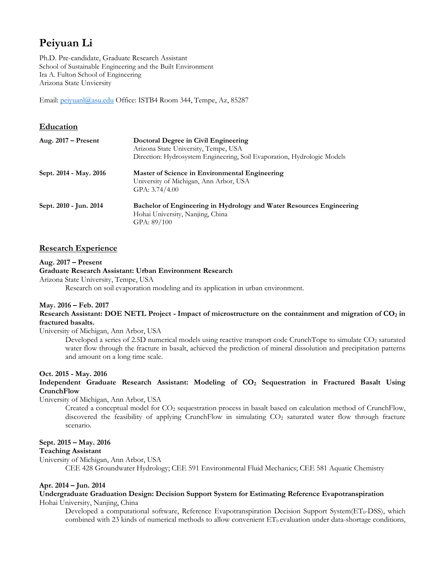# **Peiyuan Li**

Ph.D. Pre-candidate, Graduate Research Assistant School of Sustainable Engineering and the Built Environment Ira A. Fulton School of Engineering Arizona State Unviersity

Email: peiyuanl@asu.edu Office: ISTB4 Room 344, Tempe, Az, 85287

# **Education**

| Aug. $2017 -$ Present  | Doctoral Degree in Civil Engineering<br>Arizona State University, Tempe, USA<br>Direction: Hydrosystem Engineering, Soil Evaporation, Hydrologic Models |
|------------------------|---------------------------------------------------------------------------------------------------------------------------------------------------------|
| Sept. 2014 - May. 2016 | Master of Science in Environmental Engineering<br>University of Michigan, Ann Arbor, USA<br>GPA: $3.74/4.00$                                            |
| Sept. 2010 - Jun. 2014 | Bachelor of Engineering in Hydrology and Water Resources Engineering<br>Hohai University, Nanjing, China<br>GPA: 89/100                                 |

## **Research Experience**

#### **Aug. 2017 – Present**

**Graduate Research Assistant: Urban Environment Research** Arizona State University, Tempe, USA

Research on soil evaporation modeling and its application in urban environment.

## **May. 2016 – Feb. 2017**

**Research Assistant: DOE NETL Project -** Impact of microstructure on the containment and migration of CO<sub>2</sub> in **fractured basalts.**

University of Michigan, Ann Arbor, USA

Developed a series of 2.5D numerical models using reactive transport code CrunchTope to simulate CO<sub>2</sub> saturated water flow through the fracture in basalt, achieved the prediction of mineral dissolution and precipitation patterns and amount on a long time scale.

## **Oct. 2015 - May. 2016**

## Independent Graduate Research Assistant: Modeling of CO<sub>2</sub> Sequestration in Fractured Basalt Using **CrunchFlow**

University of Michigan, Ann Arbor, USA

Created a conceptual model for CO2 sequestration process in basalt based on calculation method of CrunchFlow, discovered the feasibility of applying CrunchFlow in simulating CO2 saturated water flow through fracture scenario.

## **Sept. 2015 – May. 2016**

## **Teaching Assistant**

University of Michigan, Ann Arbor, USA

CEE 428 Groundwater Hydrology; CEE 591 Environmental Fluid Mechanics; CEE 581 Aquatic Chemistry

#### **Apr. 2014 – Jun. 2014**

#### **Undergraduate Graduation Design: Decision Support System for Estimating Reference Evapotranspiration**  Hohai University, Nanjing, China

Developed a computational software, Reference Evapotranspiration Decision Support System(ET<sub>0</sub>-DSS), which combined with 23 kinds of numerical methods to allow convenient  $ET_0$  evaluation under data-shortage conditions,